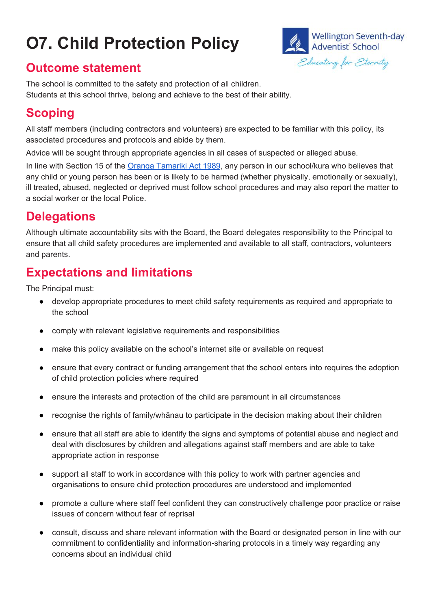# **O7. Child Protection Policy**



#### **Outcome statement**

The school is committed to the safety and protection of all children. Students at this school thrive, belong and achieve to the best of their ability.

#### **Scoping**

All staff members (including contractors and volunteers) are expected to be familiar with this policy, its associated procedures and protocols and abide by them.

Advice will be sought through appropriate agencies in all cases of suspected or alleged abuse.

In line with Section 15 of th[e](http://www.legislation.govt.nz/act/public/1989/0024/latest/DLM149467.html) Oranga [Tamariki](http://www.legislation.govt.nz/act/public/1989/0024/latest/DLM149467.html) Act 1989, any person in our school/kura who believes that any child or young person has been or is likely to be harmed (whether physically, emotionally or sexually), ill treated, abused, neglected or deprived must follow school procedures and may also report the matter to a social worker or the local Police.

#### **Delegations**

Although ultimate accountability sits with the Board, the Board delegates responsibility to the Principal to ensure that all child safety procedures are implemented and available to all staff, contractors, volunteers and parents.

#### **Expectations and limitations**

The Principal must:

- develop appropriate procedures to meet child safety requirements as required and appropriate to the school
- comply with relevant legislative requirements and responsibilities
- make this policy available on the school's internet site or available on request
- ensure that every contract or funding arrangement that the school enters into requires the adoption of child protection policies where required
- ensure the interests and protection of the child are paramount in all circumstances
- recognise the rights of family/whānau to participate in the decision making about their children
- ensure that all staff are able to identify the signs and symptoms of potential abuse and neglect and deal with disclosures by children and allegations against staff members and are able to take appropriate action in response
- support all staff to work in accordance with this policy to work with partner agencies and organisations to ensure child protection procedures are understood and implemented
- promote a culture where staff feel confident they can constructively challenge poor practice or raise issues of concern without fear of reprisal
- consult, discuss and share relevant information with the Board or designated person in line with our commitment to confidentiality and information-sharing protocols in a timely way regarding any concerns about an individual child